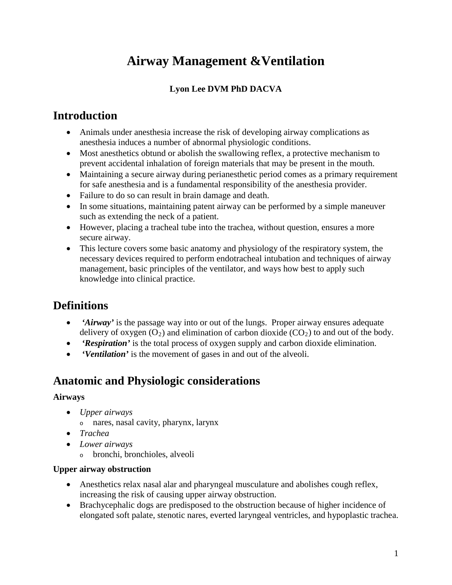# **Airway Management &Ventilation**

#### **Lyon Lee DVM PhD DACVA**

### **Introduction**

- Animals under anesthesia increase the risk of developing airway complications as anesthesia induces a number of abnormal physiologic conditions.
- Most anesthetics obtund or abolish the swallowing reflex, a protective mechanism to prevent accidental inhalation of foreign materials that may be present in the mouth.
- Maintaining a secure airway during perianesthetic period comes as a primary requirement for safe anesthesia and is a fundamental responsibility of the anesthesia provider.
- Failure to do so can result in brain damage and death.
- In some situations, maintaining patent airway can be performed by a simple maneuver such as extending the neck of a patient.
- However, placing a tracheal tube into the trachea, without question, ensures a more secure airway.
- This lecture covers some basic anatomy and physiology of the respiratory system, the necessary devices required to perform endotracheal intubation and techniques of airway management, basic principles of the ventilator, and ways how best to apply such knowledge into clinical practice.

## **Definitions**

- *'Airway'* is the passage way into or out of the lungs. Proper airway ensures adequate delivery of oxygen  $(O_2)$  and elimination of carbon dioxide  $(CO_2)$  to and out of the body.
- *'Respiration'* is the total process of oxygen supply and carbon dioxide elimination.
- *'Ventilation'* is the movement of gases in and out of the alveoli.

### **Anatomic and Physiologic considerations**

#### **Airways**

- *Upper airways*
	- <sup>o</sup> nares, nasal cavity, pharynx, larynx
- *Trachea*
- *Lower airways*
	- <sup>o</sup> bronchi, bronchioles, alveoli

#### **Upper airway obstruction**

- Anesthetics relax nasal alar and pharyngeal musculature and abolishes cough reflex, increasing the risk of causing upper airway obstruction.
- Brachycephalic dogs are predisposed to the obstruction because of higher incidence of elongated soft palate, stenotic nares, everted laryngeal ventricles, and hypoplastic trachea.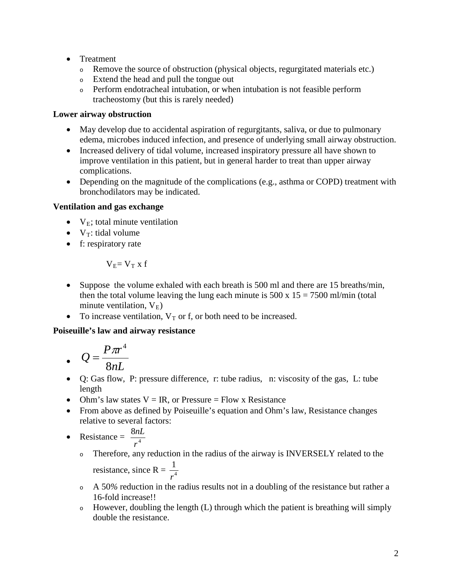- Treatment
	- <sup>o</sup> Remove the source of obstruction (physical objects, regurgitated materials etc.)
	- <sup>o</sup> Extend the head and pull the tongue out
	- <sup>o</sup> Perform endotracheal intubation, or when intubation is not feasible perform tracheostomy (but this is rarely needed)

#### **Lower airway obstruction**

- May develop due to accidental aspiration of regurgitants, saliva, or due to pulmonary edema, microbes induced infection, and presence of underlying small airway obstruction.
- Increased delivery of tidal volume, increased inspiratory pressure all have shown to improve ventilation in this patient, but in general harder to treat than upper airway complications.
- Depending on the magnitude of the complications (e.g., asthma or COPD) treatment with bronchodilators may be indicated.

#### **Ventilation and gas exchange**

- $V_E$ ; total minute ventilation
- $V_T$ : tidal volume
- f: respiratory rate

$$
V_E{=}\ V_T\ x\ f
$$

- Suppose the volume exhaled with each breath is 500 ml and there are 15 breaths/min, then the total volume leaving the lung each minute is  $500 \times 15 = 7500 \text{ ml/min}$  (total minute ventilation,  $V_E$ )
- To increase ventilation,  $V_T$  or f, or both need to be increased.

#### **Poiseuille's law and airway resistance**

$$
Q = \frac{P\pi r^4}{8nL}
$$

- Q: Gas flow, P: pressure difference, r: tube radius, n: viscosity of the gas, L: tube length
- Ohm's law states  $V = IR$ , or Pressure = Flow x Resistance
- From above as defined by Poiseuille's equation and Ohm's law, Resistance changes relative to several factors:
- Resistance =  $\frac{8n_1}{4}$ *r nL*
	- <sup>o</sup> Therefore, any reduction in the radius of the airway is INVERSELY related to the resistance, since R =  $\frac{1}{r^4}$ *r*
	- <sup>o</sup> A 50*%* reduction in the radius results not in a doubling of the resistance but rather a 16-fold increase!!
	- <sup>o</sup> However, doubling the length (L) through which the patient is breathing will simply double the resistance.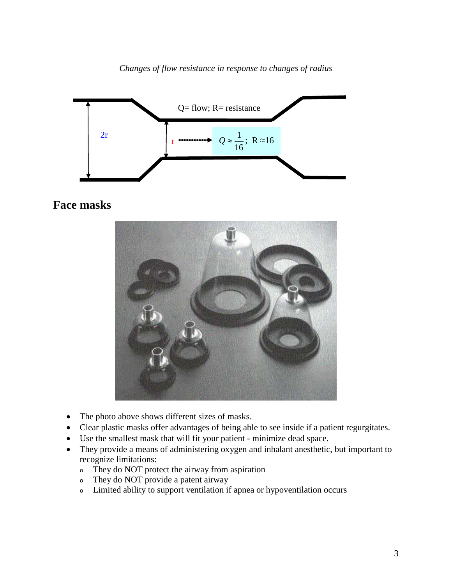*Changes of flow resistance in response to changes of radius*



### **Face masks**



- The photo above shows different sizes of masks.
- Clear plastic masks offer advantages of being able to see inside if a patient regurgitates.
- Use the smallest mask that will fit your patient minimize dead space.
- They provide a means of administering oxygen and inhalant anesthetic, but important to recognize limitations:
	- <sup>o</sup> They do NOT protect the airway from aspiration
	- <sup>o</sup> They do NOT provide a patent airway
	- <sup>o</sup> Limited ability to support ventilation if apnea or hypoventilation occurs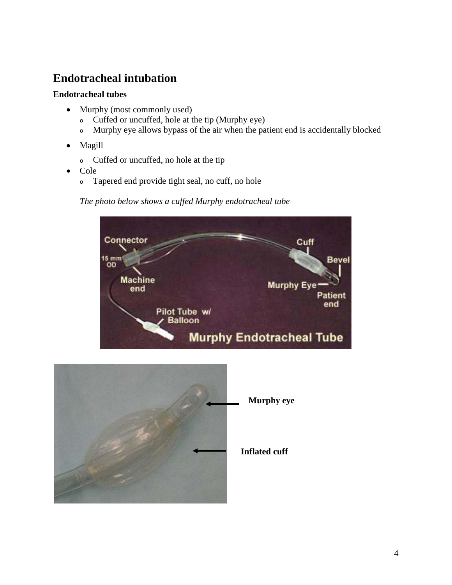## **Endotracheal intubation**

#### **Endotracheal tubes**

- Murphy (most commonly used)
	- <sup>o</sup> Cuffed or uncuffed, hole at the tip (Murphy eye)
	- <sup>o</sup> Murphy eye allows bypass of the air when the patient end is accidentally blocked
- Magill
	- <sup>o</sup> Cuffed or uncuffed, no hole at the tip
- Cole
	- <sup>o</sup> Tapered end provide tight seal, no cuff, no hole

#### *The photo below shows a cuffed Murphy endotracheal tube*



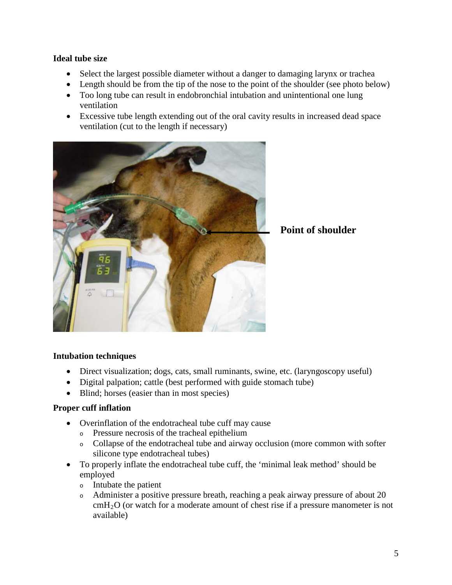#### **Ideal tube size**

- Select the largest possible diameter without a danger to damaging larynx or trachea
- Length should be from the tip of the nose to the point of the shoulder (see photo below)
- Too long tube can result in endobronchial intubation and unintentional one lung ventilation
- Excessive tube length extending out of the oral cavity results in increased dead space ventilation (cut to the length if necessary)



**Point of shoulder**

#### **Intubation techniques**

- Direct visualization; dogs, cats, small ruminants, swine, etc. (laryngoscopy useful)
- Digital palpation; cattle (best performed with guide stomach tube)
- Blind; horses (easier than in most species)

#### **Proper cuff inflation**

- Overinflation of the endotracheal tube cuff may cause
	- <sup>o</sup> Pressure necrosis of the tracheal epithelium
	- <sup>o</sup> Collapse of the endotracheal tube and airway occlusion (more common with softer silicone type endotracheal tubes)
- To properly inflate the endotracheal tube cuff, the 'minimal leak method' should be employed
	- <sup>o</sup> Intubate the patient
	- <sup>o</sup> Administer a positive pressure breath, reaching a peak airway pressure of about 20 cmH2O (or watch for a moderate amount of chest rise if a pressure manometer is not available)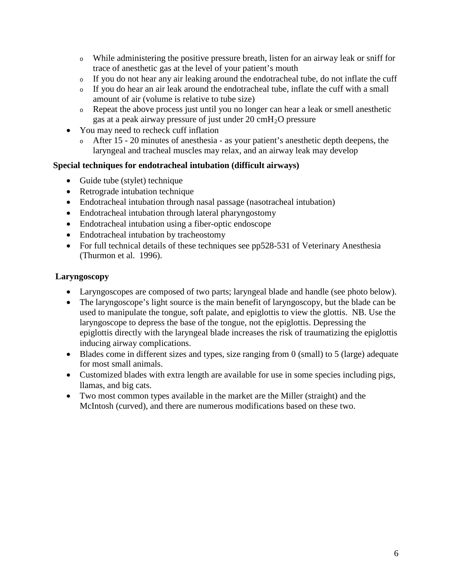- <sup>o</sup> While administering the positive pressure breath, listen for an airway leak or sniff for trace of anesthetic gas at the level of your patient's mouth
- <sup>o</sup> If you do not hear any air leaking around the endotracheal tube, do not inflate the cuff
- <sup>o</sup> If you do hear an air leak around the endotracheal tube, inflate the cuff with a small amount of air (volume is relative to tube size)
- <sup>o</sup> Repeat the above process just until you no longer can hear a leak or smell anesthetic gas at a peak airway pressure of just under  $20 \text{ cm}H_2O$  pressure
- You may need to recheck cuff inflation
	- <sup>o</sup> After 15 20 minutes of anesthesia as your patient's anesthetic depth deepens, the laryngeal and tracheal muscles may relax, and an airway leak may develop

#### **Special techniques for endotracheal intubation (difficult airways)**

- Guide tube (stylet) technique
- Retrograde intubation technique
- Endotracheal intubation through nasal passage (nasotracheal intubation)
- Endotracheal intubation through lateral pharyngostomy
- Endotracheal intubation using a fiber-optic endoscope
- Endotracheal intubation by tracheostomy
- For full technical details of these techniques see pp528-531 of Veterinary Anesthesia (Thurmon et al. 1996).

#### **Laryngoscopy**

- Laryngoscopes are composed of two parts; laryngeal blade and handle (see photo below).
- The laryngoscope's light source is the main benefit of laryngoscopy, but the blade can be used to manipulate the tongue, soft palate, and epiglottis to view the glottis. NB. Use the laryngoscope to depress the base of the tongue, not the epiglottis. Depressing the epiglottis directly with the laryngeal blade increases the risk of traumatizing the epiglottis inducing airway complications.
- Blades come in different sizes and types, size ranging from 0 (small) to 5 (large) adequate for most small animals.
- Customized blades with extra length are available for use in some species including pigs, llamas, and big cats.
- Two most common types available in the market are the Miller (straight) and the McIntosh (curved), and there are numerous modifications based on these two.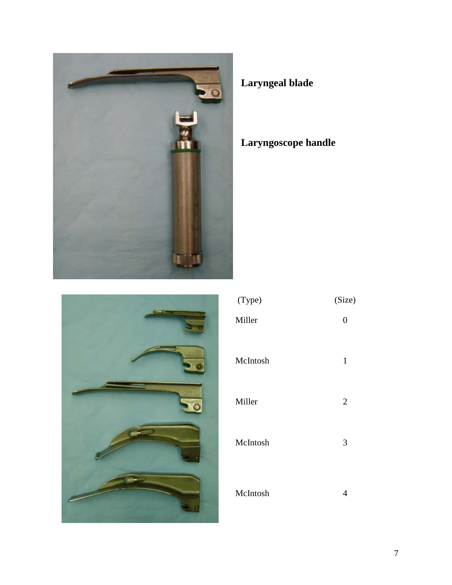

# **Laryngeal blade**

# **Laryngoscope handle**



| (Type)   | (Size)         |
|----------|----------------|
| Miller   | 0              |
| McIntosh | 1              |
| Miller   | $\overline{2}$ |
| McIntosh | 3              |
| McIntosh | 4              |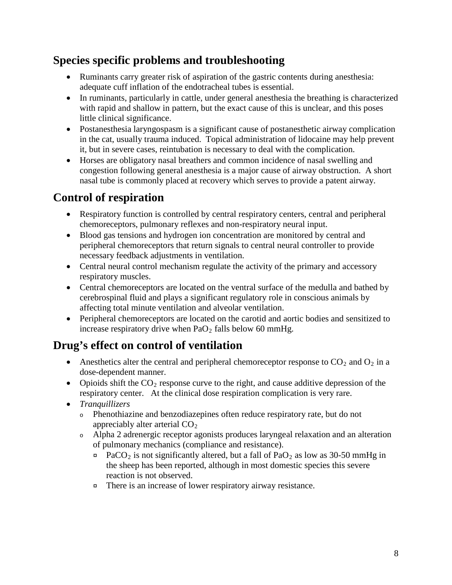## **Species specific problems and troubleshooting**

- Ruminants carry greater risk of aspiration of the gastric contents during anesthesia: adequate cuff inflation of the endotracheal tubes is essential.
- In ruminants, particularly in cattle, under general anesthesia the breathing is characterized with rapid and shallow in pattern, but the exact cause of this is unclear, and this poses little clinical significance.
- Postanesthesia laryngospasm is a significant cause of postanesthetic airway complication in the cat, usually trauma induced. Topical administration of lidocaine may help prevent it, but in severe cases, reintubation is necessary to deal with the complication.
- Horses are obligatory nasal breathers and common incidence of nasal swelling and congestion following general anesthesia is a major cause of airway obstruction. A short nasal tube is commonly placed at recovery which serves to provide a patent airway.

# **Control of respiration**

- Respiratory function is controlled by central respiratory centers, central and peripheral chemoreceptors, pulmonary reflexes and non-respiratory neural input.
- Blood gas tensions and hydrogen ion concentration are monitored by central and peripheral chemoreceptors that return signals to central neural controller to provide necessary feedback adjustments in ventilation.
- Central neural control mechanism regulate the activity of the primary and accessory respiratory muscles.
- Central chemoreceptors are located on the ventral surface of the medulla and bathed by cerebrospinal fluid and plays a significant regulatory role in conscious animals by affecting total minute ventilation and alveolar ventilation.
- Peripheral chemoreceptors are located on the carotid and aortic bodies and sensitized to increase respiratory drive when  $PaO<sub>2</sub>$  falls below 60 mmHg.

# **Drug's effect on control of ventilation**

- Anesthetics alter the central and peripheral chemoreceptor response to  $CO_2$  and  $O_2$  in a dose-dependent manner.
- Opioids shift the  $CO_2$  response curve to the right, and cause additive depression of the respiratory center. At the clinical dose respiration complication is very rare.
- *Tranquillizers*
	- <sup>o</sup> Phenothiazine and benzodiazepines often reduce respiratory rate, but do not appreciably alter arterial  $CO<sub>2</sub>$
	- <sup>o</sup> Alpha 2 adrenergic receptor agonists produces laryngeal relaxation and an alteration of pulmonary mechanics (compliance and resistance).
		- $\alpha$  PaCO<sub>2</sub> is not significantly altered, but a fall of PaO<sub>2</sub> as low as 30-50 mmHg in the sheep has been reported, although in most domestic species this severe reaction is not observed.
		- ¤ There is an increase of lower respiratory airway resistance.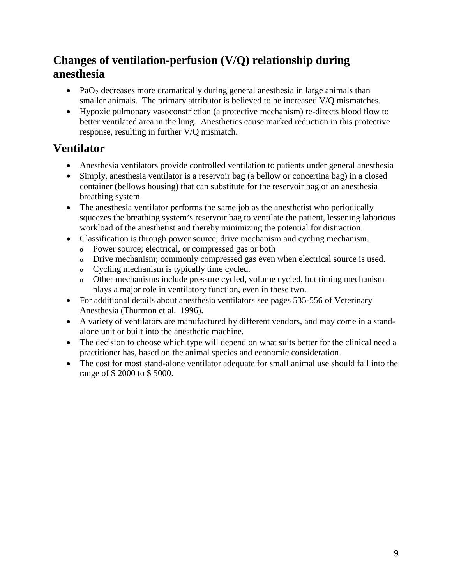## **Changes of ventilation-perfusion (V/Q) relationship during anesthesia**

- PaO<sub>2</sub> decreases more dramatically during general anesthesia in large animals than smaller animals. The primary attributor is believed to be increased V/Q mismatches.
- Hypoxic pulmonary vasoconstriction (a protective mechanism) re-directs blood flow to better ventilated area in the lung. Anesthetics cause marked reduction in this protective response, resulting in further V/Q mismatch.

## **Ventilator**

- Anesthesia ventilators provide controlled ventilation to patients under general anesthesia
- Simply, anesthesia ventilator is a reservoir bag (a bellow or concertina bag) in a closed container (bellows housing) that can substitute for the reservoir bag of an anesthesia breathing system.
- The anesthesia ventilator performs the same job as the anesthetist who periodically squeezes the breathing system's reservoir bag to ventilate the patient, lessening laborious workload of the anesthetist and thereby minimizing the potential for distraction.
- Classification is through power source, drive mechanism and cycling mechanism.
	- <sup>o</sup> Power source; electrical, or compressed gas or both
	- <sup>o</sup> Drive mechanism; commonly compressed gas even when electrical source is used.
	- <sup>o</sup> Cycling mechanism is typically time cycled.
	- <sup>o</sup> Other mechanisms include pressure cycled, volume cycled, but timing mechanism plays a major role in ventilatory function, even in these two.
- For additional details about anesthesia ventilators see pages 535-556 of Veterinary Anesthesia (Thurmon et al. 1996).
- A variety of ventilators are manufactured by different vendors, and may come in a standalone unit or built into the anesthetic machine.
- The decision to choose which type will depend on what suits better for the clinical need a practitioner has, based on the animal species and economic consideration.
- The cost for most stand-alone ventilator adequate for small animal use should fall into the range of \$ 2000 to \$ 5000.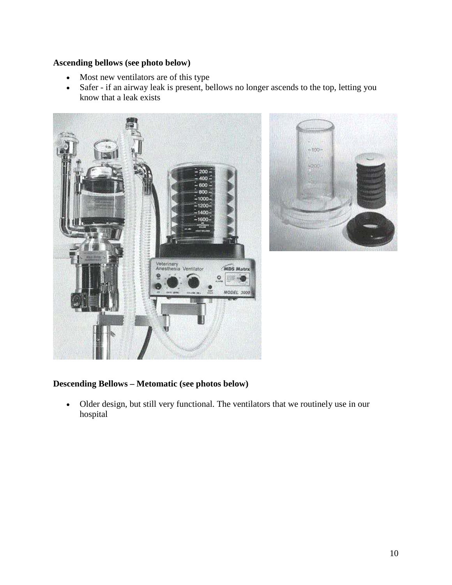#### **Ascending bellows (see photo below)**

- Most new ventilators are of this type
- Safer if an airway leak is present, bellows no longer ascends to the top, letting you know that a leak exists





#### **Descending Bellows – Metomatic (see photos below)**

• Older design, but still very functional. The ventilators that we routinely use in our hospital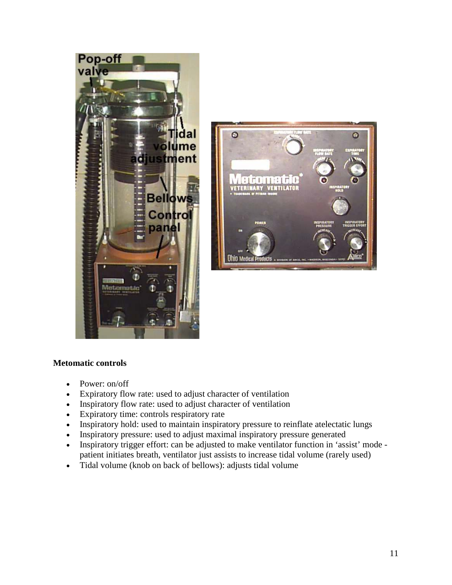



#### **Metomatic controls**

- Power: on/off
- Expiratory flow rate: used to adjust character of ventilation
- Inspiratory flow rate: used to adjust character of ventilation
- Expiratory time: controls respiratory rate
- Inspiratory hold: used to maintain inspiratory pressure to reinflate atelectatic lungs
- Inspiratory pressure: used to adjust maximal inspiratory pressure generated
- Inspiratory trigger effort: can be adjusted to make ventilator function in 'assist' mode patient initiates breath, ventilator just assists to increase tidal volume (rarely used)
- Tidal volume (knob on back of bellows): adjusts tidal volume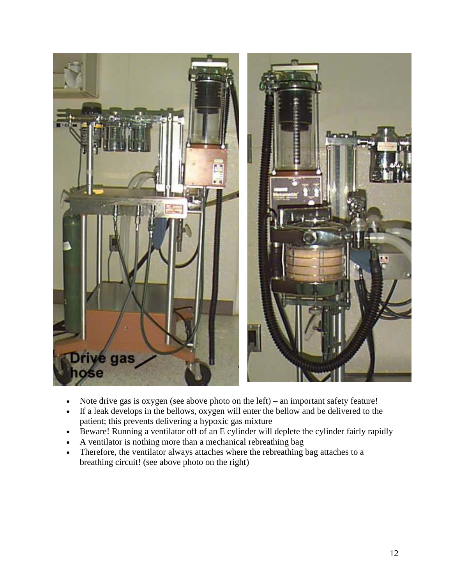

- Note drive gas is oxygen (see above photo on the left) an important safety feature!
- If a leak develops in the bellows, oxygen will enter the bellow and be delivered to the patient; this prevents delivering a hypoxic gas mixture
- Beware! Running a ventilator off of an E cylinder will deplete the cylinder fairly rapidly
- A ventilator is nothing more than a mechanical rebreathing bag
- Therefore, the ventilator always attaches where the rebreathing bag attaches to a breathing circuit! (see above photo on the right)